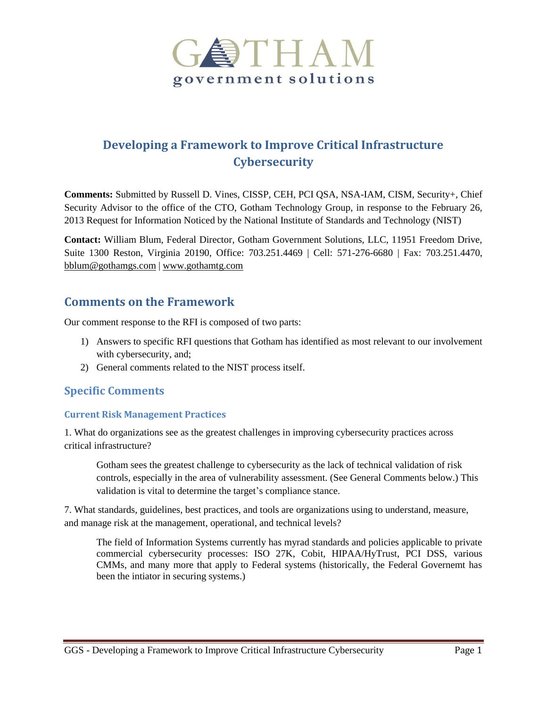

# **Developing a Framework to Improve Critical Infrastructure Cybersecurity**

**Comments:** Submitted by Russell D. Vines, CISSP, CEH, PCI QSA, NSA-IAM, CISM, Security+, Chief Security Advisor to the office of the CTO, Gotham Technology Group, in response to the February 26, 2013 Request for Information Noticed by the National Institute of Standards and Technology (NIST)

**Contact:** William Blum, Federal Director, Gotham Government Solutions, LLC, 11951 Freedom Drive, Suite 1300 Reston, Virginia 20190, Office: 703.251.4469 | Cell: 571-276-6680 | Fax: 703.251.4470, [bblum@gothamgs.com](mailto:bblum@gothamgs.com) | [www.gothamtg.com](http://www.gothamtg.com/)

# **Comments on the Framework**

Our comment response to the RFI is composed of two parts:

- 1) Answers to specific RFI questions that Gotham has identified as most relevant to our involvement with cybersecurity, and;
- 2) General comments related to the NIST process itself.

# **Specific Comments**

## **Current Risk Management Practices**

1. What do organizations see as the greatest challenges in improving cybersecurity practices across critical infrastructure?

Gotham sees the greatest challenge to cybersecurity as the lack of technical validation of risk controls, especially in the area of vulnerability assessment. (See General Comments below.) This validation is vital to determine the target's compliance stance.

7. What standards, guidelines, best practices, and tools are organizations using to understand, measure, and manage risk at the management, operational, and technical levels?

The field of Information Systems currently has myrad standards and policies applicable to private commercial cybersecurity processes: ISO 27K, Cobit, HIPAA/HyTrust, PCI DSS, various CMMs, and many more that apply to Federal systems (historically, the Federal Governemt has been the intiator in securing systems.)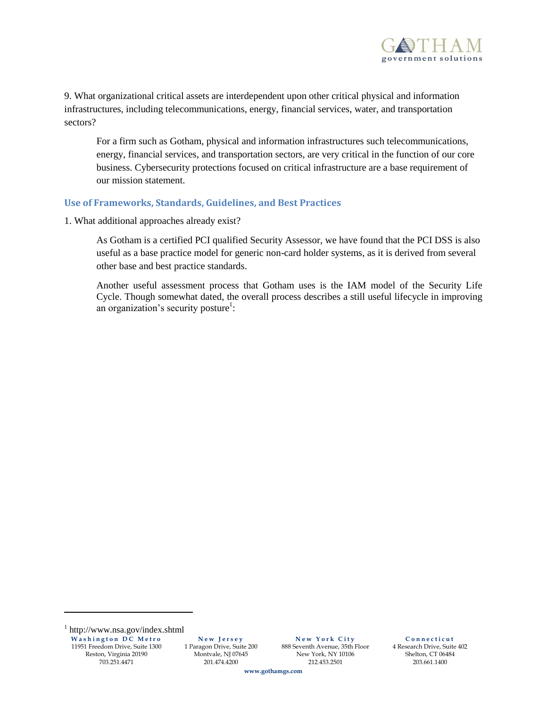

9. What organizational critical assets are interdependent upon other critical physical and information infrastructures, including telecommunications, energy, financial services, water, and transportation sectors?

For a firm such as Gotham, physical and information infrastructures such telecommunications, energy, financial services, and transportation sectors, are very critical in the function of our core business. Cybersecurity protections focused on critical infrastructure are a base requirement of our mission statement.

#### **Use of Frameworks, Standards, Guidelines, and Best Practices**

1. What additional approaches already exist?

As Gotham is a certified PCI qualified Security Assessor, we have found that the PCI DSS is also useful as a base practice model for generic non-card holder systems, as it is derived from several other base and best practice standards.

Another useful assessment process that Gotham uses is the IAM model of the Security Life Cycle. Though somewhat dated, the overall process describes a still useful lifecycle in improving an organization's security posture<sup>1</sup>:

l

**N e w J e r s e y** 1 Paragon Drive, Suite 200 Montvale, NJ 07645 201.474.4200

**N e w Y o r k C i t y** 888 Seventh Avenue, 35th Floor New York, NY 10106 212.453.2501

**C o n n e c t i c u t** 4 Research Drive, Suite 402 Shelton, CT 06484 203.661.1400

**www.gothamgs.com**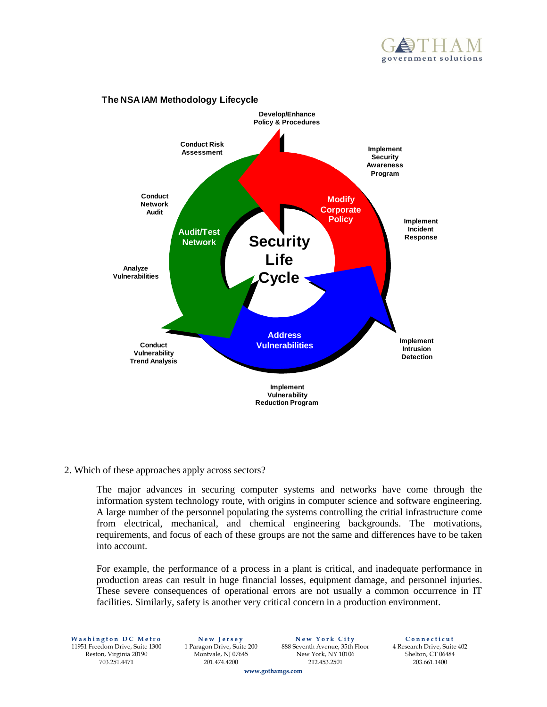



#### **The NSA IAM Methodology Lifecycle**

#### 2. Which of these approaches apply across sectors?

The major advances in securing computer systems and networks have come through the information system technology route, with origins in computer science and software engineering. A large number of the personnel populating the systems controlling the critial infrastructure come from electrical, mechanical, and chemical engineering backgrounds. The motivations, requirements, and focus of each of these groups are not the same and differences have to be taken into account.

For example, the performance of a process in a plant is critical, and inadequate performance in production areas can result in huge financial losses, equipment damage, and personnel injuries. These severe consequences of operational errors are not usually a common occurrence in IT facilities. Similarly, safety is another very critical concern in a production environment.

**Washington DC Metro** 11951 Freedom Drive, Suite 1300 Reston, Virginia 20190 703.251.4471

**N e w J e r s e y** 1 Paragon Drive, Suite 200 Montvale, NJ 07645 201.474.4200

**N e w Y o r k C i t y** 888 Seventh Avenue, 35th Floor New York, NY 10106 212.453.2501

**C o n n e c t i c u t** 4 Research Drive, Suite 402 Shelton, CT 06484 203.661.1400

**www.gothamgs.com**